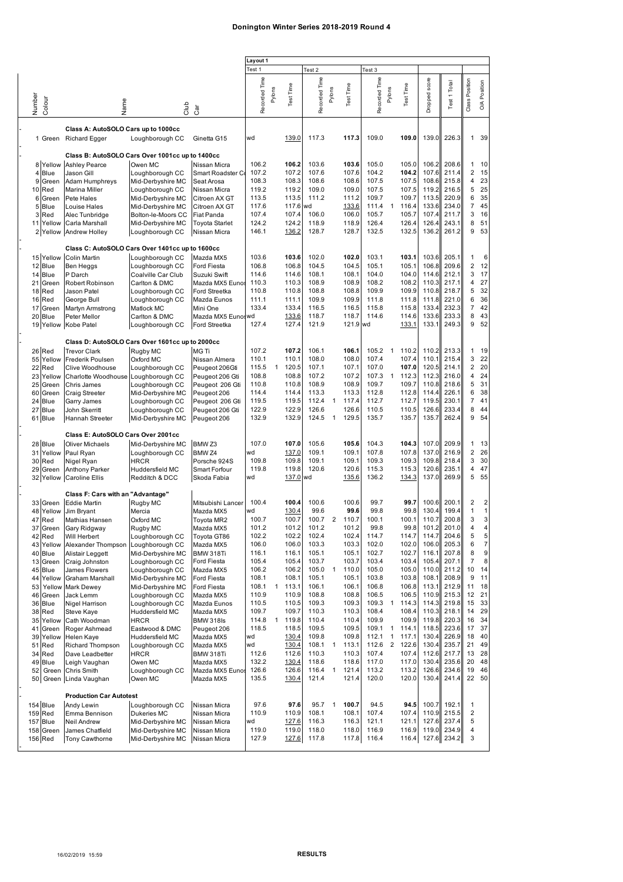## **Donington Winter Series 2018-2019 Round 4**

|          |             |                                                 |                            |                              | Layout 1      |        |           |                   |                |           |               |                |           |               |              |                |                               |
|----------|-------------|-------------------------------------------------|----------------------------|------------------------------|---------------|--------|-----------|-------------------|----------------|-----------|---------------|----------------|-----------|---------------|--------------|----------------|-------------------------------|
|          |             |                                                 |                            |                              |               |        |           | Test <sub>2</sub> |                |           | Test 3        |                |           |               |              |                |                               |
|          |             |                                                 |                            |                              |               |        |           |                   |                |           |               |                |           |               |              |                |                               |
|          |             |                                                 |                            |                              | Recorded Time |        |           | Recorded Time     |                |           | Recorded Time |                |           | Dropped score | Test 1 Total | Class Position | Position                      |
|          |             |                                                 |                            |                              |               | Pylons | Test Time |                   | Pylons         | Test Time |               | Pylons         | Test Time |               |              |                |                               |
|          |             |                                                 |                            |                              |               |        |           |                   |                |           |               |                |           |               |              |                | $\stackrel{\triangle}{\circ}$ |
| Number   | Colour      | Name                                            | dub                        | Cār                          |               |        |           |                   |                |           |               |                |           |               |              |                |                               |
|          |             |                                                 |                            |                              |               |        |           |                   |                |           |               |                |           |               |              |                |                               |
|          |             | Class A: AutoSOLO Cars up to 1000cc             |                            |                              |               |        |           |                   |                |           |               |                |           |               |              |                |                               |
|          |             |                                                 |                            |                              | wd            |        | 139.0     | 117.3             |                | 117.3     | 109.0         |                | 109.0     | 139.0         | 226.3        | $\mathbf{1}$   | 39                            |
|          | 1 Green     | <b>Richard Egger</b>                            | Loughborough CC            | Ginetta G15                  |               |        |           |                   |                |           |               |                |           |               |              |                |                               |
|          |             |                                                 |                            |                              |               |        |           |                   |                |           |               |                |           |               |              |                |                               |
|          |             | Class B: AutoSOLO Cars Over 1001cc up to 1400cc |                            |                              |               |        |           |                   |                |           |               |                |           |               |              |                |                               |
|          |             | 8 Yellow Ashley Pearce                          | Owen MC                    | Nissan Micra                 | 106.2         |        | 106.2     | 103.6             |                | 103.6     | 105.0         |                | 105.0     | 106.2         | 208.6        | 1.             | 10                            |
|          | 4 Blue      | Jason Gill                                      | Loughborough CC            | Smart Roadster C             | 107.2         |        | 107.2     | 107.6             |                | 107.6     | 104.2         |                | 104.2     | 107.6         | 211.4        | $\overline{2}$ | 15                            |
|          | 9 Green     | Adam Humphreys                                  | Mid-Derbyshire MC          | Seat Arosa                   | 108.3         |        | 108.3     | 108.6             |                | 108.6     | 107.5         |                | 107.5     | 108.6         | 215.8        | 4              | 23                            |
| 10 Red   |             | Marina Miller                                   | Loughborough CC            | Nissan Micra                 | 119.2         |        | 119.2     | 109.0             |                | 109.0     | 107.5         |                | 107.5     | 119.2         | 216.5        | 5              | 25                            |
| 6        | Green       | Pete Hales                                      | Mid-Derbyshire MC          | Citroen AX GT                | 113.5         |        | 113.5     | 111.2             |                | 111.2     | 109.7         |                | 109.7     | 113.5         | 220.9        | 6              | 35                            |
|          | 5 Blue      | Louise Hales                                    | Mid-Derbyshire MC          | Citroen AX GT                | 117.6         |        | 117.6     | wd                |                | 133.6     | 111.4         | $\mathbf{1}$   | 116.4     | 133.6         | 234.0        | $\overline{7}$ | 45                            |
| 3        | Red         | Alec Tunbridge                                  | Bolton-le-Moors CC         | Fiat Panda                   | 107.4         |        | 107.4     | 106.0             |                | 106.0     | 105.7         |                | 105.7     | 107.4         | 211.7        | 3              | 16                            |
| 11       | Yellow      | Carla Marshall                                  | Mid-Derbyshire MC          | <b>Toyota Starlet</b>        | 124.2         |        | 124.2     | 118.9             |                | 118.9     | 126.4         |                | 126.4     | 126.4         | 243.1        | 8              | 51                            |
|          |             | 2 Yellow Andrew Holley                          | Loughborough CC            | Nissan Micra                 | 146.1         |        | 136.2     | 128.7             |                | 128.7     | 132.5         |                | 132.5     | 136.2         | 261.2        | 9              | 53                            |
|          |             |                                                 |                            |                              |               |        |           |                   |                |           |               |                |           |               |              |                |                               |
|          |             | Class C: AutoSOLO Cars Over 1401cc up to 1600cc |                            |                              |               |        |           |                   |                |           |               |                |           |               |              |                |                               |
|          |             | 15 Yellow Colin Martin                          |                            | Mazda MX5                    | 103.6         |        | 103.6     | 102.0             |                | 102.0     | 103.1         |                | 103.1     | 103.6         | 205.1        | 1              | 6                             |
|          |             |                                                 | Loughborough CC            |                              |               |        | 106.8     |                   |                |           |               |                | 105.1     | 106.8         | 209.6        | $\overline{2}$ | 12                            |
|          | 12 Blue     | Ben Heggs                                       | Loughborough CC            | Ford Fiesta                  | 106.8         |        |           | 104.5             |                | 104.5     | 105.1         |                |           |               |              |                |                               |
|          | 14 Blue     | P Darch                                         | Coalville Car Club         | Suzuki Swift                 | 114.6         |        | 114.6     | 108.1             |                | 108.1     | 104.0         |                | 104.0     | 114.6         | 212.1        | 3              | 17                            |
| 21       | Green       | Robert Robinson                                 | Carlton & DMC              | Mazda MX5 Eunos              | 110.3         |        | 110.3     | 108.9             |                | 108.9     | 108.2         |                | 108.2     | 110.3         | 217.1        | 4              | 27                            |
| 18       | Red         | Jason Patel                                     | Loughborough CC            | Ford Streetka                | 110.8         |        | 110.8     | 108.8             |                | 108.8     | 109.9         |                | 109.9     | 110.8         | 218.7        | 5              | 32                            |
| 16       | Red         | George Bull                                     | Loughborough CC            | Mazda Eunos                  | 111.1         |        | 111.1     | 109.9             |                | 109.9     | 111.8         |                | 111.8     | 111.8         | 221.0        | 6              | 36                            |
| 17       | Green       | Martyn Armstrong                                | Matlock MC                 | Mini One                     | 133.4         |        | 133.4     | 116.5             |                | 116.5     | 115.8         |                | 115.8     | 133.4         | 232.3        | $\overline{7}$ | 42                            |
|          | 20 Blue     | Peter Mellor                                    | Carlton & DMC              | Mazda MX5 Eunoswd            |               |        | 133.6     | 118.7             |                | 118.7     | 114.6         |                | 114.6     | 133.6         | 233.3        | 8              | 43                            |
|          |             | 19 Yellow Kobe Patel                            | Loughborough CC            | Ford Streetka                | 127.4         |        | 127.4     | 121.9             |                | 121.9 wd  |               |                | 133.1     | 133.1         | 249.3        | 9              | 52                            |
|          |             |                                                 |                            |                              |               |        |           |                   |                |           |               |                |           |               |              |                |                               |
|          |             | Class D: AutoSOLO Cars Over 1601cc up to 2000cc |                            |                              |               |        |           |                   |                |           |               |                |           |               |              |                |                               |
| 26 Red   |             | <b>Trevor Clark</b>                             | Rugby MC                   | <b>MG Ti</b>                 | 107.2         |        | 107.2     | 106.1             |                | 106.1     | 105.2         | $\mathbf{1}$   | 110.2     | 110.2         | 213.3        | 1              | 19                            |
| 55       | Yellow      | Frederik Poulsen                                | Oxford MC                  | Nissan Almera                | 110.1         |        | 110.1     | 108.0             |                | 108.0     | 107.4         |                | 107.4     | 110.1         | 215.4        | 3              | 22                            |
| 22       | Red         | Clive Woodhouse                                 | Loughborough CC            | Peugeot 206Gti               | 115.5         | 1      | 120.5     | 107.1             |                | 107.1     | 107.0         |                | 107.0     | 120.5         | 214.1        | $\overline{2}$ | 20                            |
| 23       | Yellow      | Charlotte Woodhouse                             | Loughborough CC            | Peugeot 206 Gti              | 108.8         |        | 108.8     | 107.2             |                | 107.2     | 107.3         | $\mathbf{1}$   | 112.3     | 112.3         | 216.0        | 4              | 24                            |
| 25       | Green       | Chris James                                     | Loughborough CC            | Peugeot 206 Gti              | 110.8         |        | 110.8     | 108.9             |                | 108.9     | 109.7         |                | 109.7     | 110.8         | 218.6        | 5              | 31                            |
| 60       | Green       |                                                 | Mid-Derbyshire MC          | Peugeot 206                  | 114.4         |        | 114.4     | 113.3             |                | 113.3     | 112.8         |                | 112.8     | 114.4         | 226.1        | 6              | 38                            |
| 24       | <b>Blue</b> | Craig Streeter<br>Garry James                   |                            | Peugeot 206 Gti              | 119.5         |        | 119.5     | 112.4             | 1              | 117.4     | 112.7         |                | 112.7     | 119.5         | 230.1        | $\overline{7}$ | 41                            |
|          |             |                                                 | Loughborough CC            |                              | 122.9         |        | 122.9     | 126.6             |                | 126.6     | 110.5         |                | 110.5     | 126.6         | 233.4        | 8              | 44                            |
| 27       | Blue        | John Skerritt                                   | Loughborough CC            | Peugeot 206 Gti              |               |        | 132.9     |                   |                | 129.5     | 135.7         |                |           |               | 262.4        | 9              | 54                            |
|          | 61 Blue     | Hannah Streeter                                 | Mid-Derbyshire MC          | Peugeot 206                  | 132.9         |        |           | 124.5             | $\mathbf{1}$   |           |               |                | 135.7     | 135.7         |              |                |                               |
|          |             | Class E: AutoSOLO Cars Over 2001cc              |                            |                              |               |        |           |                   |                |           |               |                |           |               |              |                |                               |
|          |             |                                                 |                            |                              |               |        |           |                   |                |           |               |                |           |               |              |                |                               |
|          | 28 Blue     | <b>Oliver Michaels</b>                          | Mid-Derbyshire MC          | BMW <sub>Z3</sub>            | 107.0         |        | 107.0     | 105.6             |                | 105.6     | 104.3         |                | 104.3     | 107.0         | 209.9        | 1              | 13                            |
| 31       | Yellow      | Paul Ryan                                       | Loughborough CC            | BMW <sub>Z4</sub>            | wd            |        | 137.0     | 109.1             |                | 109.1     | 107.8         |                | 107.8     | 137.0         | 216.9        | $\overline{2}$ | 26                            |
| 30       | Red         | Nigel Ryan                                      | <b>HRCR</b>                | Porsche 924S                 | 109.8         |        | 109.8     | 109.1             |                | 109.1     | 109.3         |                | 109.3     | 109.8         | 218.4        | 3              | 30                            |
|          | 29 Green    | <b>Anthony Parker</b>                           | Huddersfield MC            | Smart Forfour                | 119.8         |        | 119.8     | 120.6             |                | 120.6     | 115.3         |                | 115.3     | 120.6         | 235.1        | 4              | 47                            |
|          |             | 32 Yellow Caroline Ellis                        | Redditch & DCC             | Skoda Fabia                  | wd            |        | 137.0     | wd                |                | 135.6     | 136.2         |                | 134.3     | 137.0         | 269.9        | 5              | 55                            |
|          |             |                                                 |                            |                              |               |        |           |                   |                |           |               |                |           |               |              |                |                               |
|          |             | Class F: Cars with an "Advantage"               |                            |                              |               |        |           |                   |                |           |               |                |           |               |              |                |                               |
|          | 33 Green    | <b>Eddie Martin</b>                             | Rugby MC                   | Mitsubishi Lancer            | 100.4         |        | 100.4     | 100.6             |                | 100.6     | 99.7          |                | 99.7      | 100.6         | 200.1        | 2              | $\overline{\mathbf{c}}$       |
| 48       | Yellow      | Jim Bryant                                      | Mercia                     | Mazda MX5                    | wd            |        | 130.4     | 99.6              |                | 99.6      | 99.8          |                | 99.8      | 130.4         | 199.4        | $\mathbf{1}$   | 1                             |
| 47 Red   |             | Mathias Hansen                                  | Oxford MC                  | Toyota MR2                   | 100.7         |        | 100.7     | 100.7             | $\overline{2}$ | 110.7     | 100.1         |                | 100.1     | 110.7         | 200.8        | 3              | 3                             |
|          | 37 Green    | Gary Ridgway                                    | Rugby MC                   | Mazda MX5                    | 101.2         |        | 101.2     | 101.2             |                | 101.2     | 99.8          |                | 99.8      | 101.2         | 201.0        | 4              | 4                             |
| 42 Red   |             | Will Herbert                                    | Loughborough CC            | Toyota GT86                  | 102.2         |        | 102.2     | 102.4             |                | 102.4     | 114.7         |                | 114.7     | 114.7         | 204.6        | 5              | 5                             |
|          | 43 Yellow   | Alexander Thompson                              | Loughborough CC            | Mazda MX5                    | 106.0         |        | 106.0     | 103.3             |                | 103.3     | 102.0         |                | 102.0     | 106.0         | 205.3        | 6              | $\overline{7}$                |
|          | 40 Blue     | Alistair Leggett                                | Mid-Derbyshire MC          | BMW 318Ti                    | 116.1         |        | 116.1     | 105.1             |                | 105.1     | 102.7         |                | 102.7     | 116.1         | 207.8        | 8              | 9                             |
|          | 13 Green    | Craig Johnston                                  | Loughborough CC            | Ford Fiesta                  | 105.4         |        | 105.4     | 103.7             |                | 103.7     | 103.4         |                | 103.4     | 105.4         | 207.1        | 7              | 8                             |
|          | 45 Blue     | James Flowers                                   | Loughborough CC            | Mazda MX5                    | 106.2         |        | 106.2     | 105.0             | $\mathbf{1}$   | 110.0     | 105.0         |                | 105.0     | 110.0         | 211.2        | 10             | 14                            |
| 44       | Yellow      | Graham Marshall                                 | Mid-Derbyshire MC          | Ford Fiesta                  | 108.1         |        | 108.1     | 105.1             |                | 105.1     | 103.8         |                | 103.8     | 108.1         | 208.9        | 9              | 11                            |
| 53       |             | Yellow Mark Dewey                               | Mid-Derbyshire MC          | Ford Fiesta                  | 108.1         | 1      | 113.1     | 106.1             |                | 106.1     | 106.8         |                | 106.8     | 113.1         | 212.9        | 11             | 18                            |
|          | 46 Green    | Jack Lemm                                       | Loughborough CC            | Mazda MX5                    | 110.9         |        | 110.9     | 108.8             |                | 108.8     | 106.5         |                | 106.5     | 110.9         | 215.3        |                | 12 21                         |
|          | 36 Blue     | Nigel Harrison                                  | Loughborough CC            | Mazda Eunos                  | 110.5         |        | 110.5     | 109.3             |                | 109.3     | 109.3         | $\overline{1}$ | 114.3     | 114.3         | 219.8        |                | 15 33                         |
|          | 38 Red      | Steve Kaye                                      | Huddersfield MC            | Mazda MX5                    | 109.7         |        | 109.7     | 110.3             |                | 110.3     | 108.4         |                | 108.4     |               | 110.3 218.1  |                | 14 29                         |
|          | 35 Yellow   | Cath Woodman                                    | HRCR                       | <b>BMW 318ls</b>             | 114.8         | 1      | 119.8     | 110.4             |                | 110.4     | 109.9         |                | 109.9     | 119.8         | 220.3        | 16             | 34                            |
| 41       | Green       | Roger Ashmead                                   | Eastwood & DMC             | Peugeot 206                  | 118.5         |        | 118.5     | 109.5             |                | 109.5     | 109.1         | $\mathbf{1}$   | 114.1     | 118.5         | 223.6        |                | 17 37                         |
| 39       |             | Yellow Helen Kaye                               | Huddersfield MC            | Mazda MX5                    | wd            |        | 130.4     | 109.8             |                | 109.8     | 112.1         | $\mathbf{1}$   | 117.1     | 130.4         | 226.9        | 18             | 40                            |
|          | 51 Red      | <b>Richard Thompson</b>                         | Loughborough CC            | Mazda MX5                    | wd            |        | 130.4     | 108.1             | $\mathbf{1}$   | 113.1     | 112.6         |                | 2 122.6   | 130.4         | 235.7        | 21             | 49                            |
|          | 34 Red      | Dave Leadbetter                                 | <b>HRCR</b>                | BMW 318Ti                    | 112.6         |        | 112.6     | 110.3             |                | 110.3     | 107.4         |                | 107.4     | 112.6         | 217.7        |                | 13 28                         |
|          |             |                                                 |                            |                              | 132.2         |        | 130.4     | 118.6             |                | 118.6     | 117.0         |                | 117.0     | 130.4         | 235.6        | 20             | 48                            |
| 52       | 49 Blue     | Leigh Vaughan<br>Green Chris Smith              | Owen MC<br>Loughborough CC | Mazda MX5<br>Mazda MX5 Eunos | 126.6         |        | 126.6     | 116.4             | $\mathbf{1}$   | 121.4     | 113.2         |                | 113.2     | 126.6         | 234.6        |                | 19 46                         |
|          |             |                                                 |                            |                              |               |        |           |                   |                |           |               |                |           |               | 130.4 241.4  |                | 22 50                         |
|          |             | 50 Green Linda Vaughan                          | Owen MC                    | Mazda MX5                    | 135.5         |        | 130.4     | 121.4             |                | 121.4     | 120.0         |                | 120.0     |               |              |                |                               |
|          |             |                                                 |                            |                              |               |        |           |                   |                |           |               |                |           |               |              |                |                               |
|          |             | <b>Production Car Autotest</b>                  |                            |                              |               |        |           |                   |                |           |               |                |           |               |              |                |                               |
| 154 Blue |             | Andy Lewin                                      | Loughborough CC            | Nissan Micra                 | 97.6          |        | 97.6      | 95.7              | $\mathbf{1}$   | 100.7     | 94.5          |                | 94.5      | 100.7         | 192.1        | 1              |                               |
| 159 Red  |             | Emma Bennison                                   | Dukeries MC                | Nissan Micra                 | 110.9         |        | 110.9     | 108.1             |                | 108.1     | 107.4         |                | 107.4     |               | 110.9 215.5  | 2              |                               |
| 157 Blue |             | Neil Andrew                                     | Mid-Derbyshire MC          | Nissan Micra                 | wd            |        | 127.6     | 116.3             |                | 116.3     | 121.1         |                | 121.1     |               | 127.6 237.4  | 5              |                               |
|          | 158 Green   | James Chatfield                                 | Mid-Derbyshire MC          | Nissan Micra                 | 119.0         |        | 119.0     | 118.0             |                | 118.0     | 116.9         |                | 116.9     |               | 119.0 234.9  | 4              |                               |
| 156 Red  |             | Tony Cawthorne                                  | Mid-Derbyshire MC          | Nissan Micra                 | 127.9         |        | 127.6     | 117.8             |                | 117.8     | 116.4         |                | 116.4     |               | 127.6 234.2  | 3              |                               |
|          |             |                                                 |                            |                              |               |        |           |                   |                |           |               |                |           |               |              |                |                               |